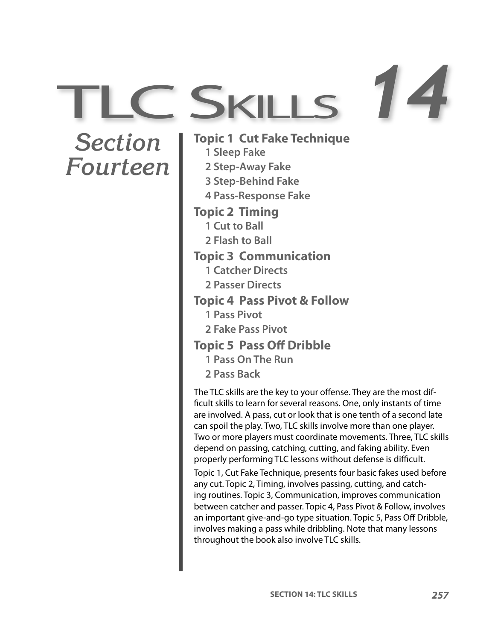*Section Fourteen*

**Topic 1 Cut Fake Technique 1 Sleep Fake 2 Step-Away Fake 3 Step-Behind Fake 4 Pass-Response Fake Topic 2 Timing 1 Cut to Ball 2 Flash to Ball Topic 3 Communication 1 Catcher Directs 2 Passer Directs Topic 4 Pass Pivot & Follow 1 Pass Pivot 2 Fake Pass Pivot Topic 5 Pass Off Dribble 1 Pass On The Run 2 Pass Back** The TLC skills are the key to your offense. They are the most difficult skills to learn for several reasons. One, only instants of time are involved. A pass, cut or look that is one tenth of a second late can spoil the play. Two, TLC skills involve more than one player. Two or more players must coordinate movements. Three, TLC skills

C SKILLS 74

depend on passing, catching, cutting, and faking ability. Even properly performing TLC lessons without defense is difficult. Topic 1, Cut Fake Technique, presents four basic fakes used before any cut. Topic 2, Timing, involves passing, cutting, and catching routines. Topic 3, Communication, improves communication between catcher and passer. Topic 4, Pass Pivot & Follow, involves

an important give-and-go type situation. Topic 5, Pass Off Dribble, involves making a pass while dribbling. Note that many lessons throughout the book also involve TLC skills.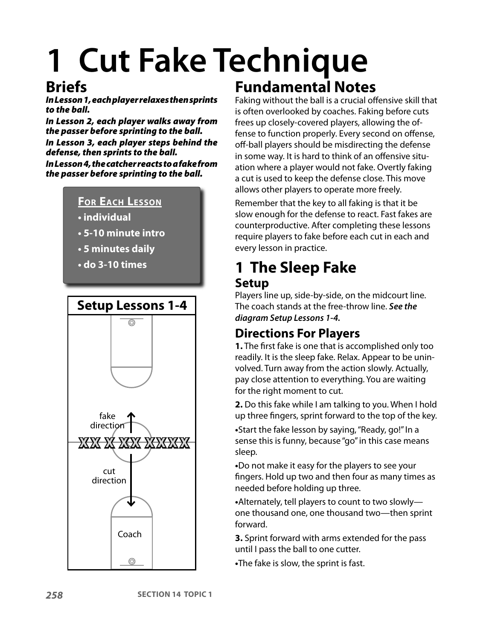# **1 Cut Fake Technique**

## **Briefs**

In Lesson 1, each player relaxes then sprints to the ball.

In Lesson 2, each player walks away from the passer before sprinting to the ball. In Lesson 3, each player steps behind the defense, then sprints to the ball.

In Lesson 4, the catcher reacts to a fake from the passer before sprinting to the ball.



- **individual**
- **5-10 minute intro**
- **5 minutes daily**
- **do 3-10 times**



# **Fundamental Notes**

Faking without the ball is a crucial offensive skill that is often overlooked by coaches. Faking before cuts frees up closely-covered players, allowing the offense to function properly. Every second on offense, off-ball players should be misdirecting the defense in some way. It is hard to think of an offensive situation where a player would not fake. Overtly faking a cut is used to keep the defense close. This move allows other players to operate more freely.

Remember that the key to all faking is that it be slow enough for the defense to react. Fast fakes are counterproductive. After completing these lessons require players to fake before each cut in each and every lesson in practice.

### **1 The Sleep Fake Setup**

Players line up, side-by-side, on the midcourt line. The coach stands at the free-throw line. **See the diagram Setup Lessons 1-4.**

#### **Directions For Players**

**1.** The first fake is one that is accomplished only too readily. It is the sleep fake. Relax. Appear to be uninvolved. Turn away from the action slowly. Actually, pay close attention to everything. You are waiting for the right moment to cut.

**2.** Do this fake while I am talking to you. When I hold up three fingers, sprint forward to the top of the key.

**•**Start the fake lesson by saying, "Ready, go!" In a sense this is funny, because "go" in this case means sleep.

**•**Do not make it easy for the players to see your fingers. Hold up two and then four as many times as needed before holding up three.

**•**Alternately, tell players to count to two slowly one thousand one, one thousand two—then sprint forward.

**3.** Sprint forward with arms extended for the pass until I pass the ball to one cutter.

**•**The fake is slow, the sprint is fast.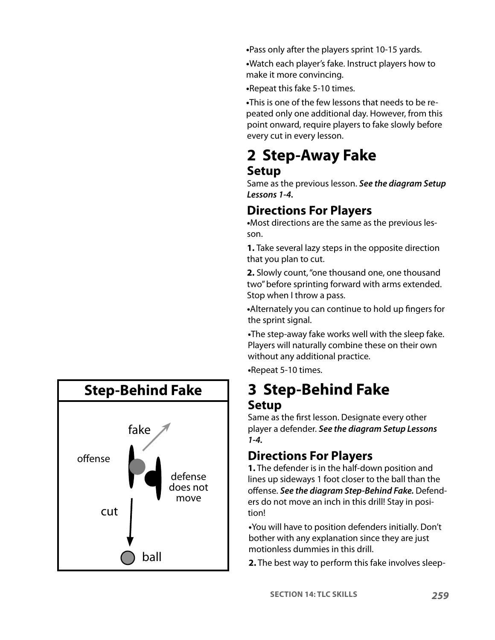**•**Pass only after the players sprint 10-15 yards.

**•**Watch each player's fake. Instruct players how to make it more convincing.

**•**Repeat this fake 5-10 times.

**•**This is one of the few lessons that needs to be repeated only one additional day. However, from this point onward, require players to fake slowly before every cut in every lesson.

# **2 Step-Away Fake**

#### **Setup**

Same as the previous lesson. **See the diagram Setup Lessons 1-4.**

#### **Directions For Players**

**•**Most directions are the same as the previous lesson.

**1.** Take several lazy steps in the opposite direction that you plan to cut.

**2.** Slowly count, "one thousand one, one thousand two" before sprinting forward with arms extended. Stop when I throw a pass.

**•**Alternately you can continue to hold up fingers for the sprint signal.

**•**The step-away fake works well with the sleep fake. Players will naturally combine these on their own without any additional practice.

**•**Repeat 5-10 times.

### **3 Step-Behind Fake Setup**

Same as the first lesson. Designate every other player a defender. **See the diagram Setup Lessons 1-4.**

#### **Directions For Players**

**1.** The defender is in the half-down position and lines up sideways 1 foot closer to the ball than the offense. **See the diagram Step-Behind Fake.** Defenders do not move an inch in this drill! Stay in position!

**•**You will have to position defenders initially. Don't bother with any explanation since they are just motionless dummies in this drill.

**2.** The best way to perform this fake involves sleep-